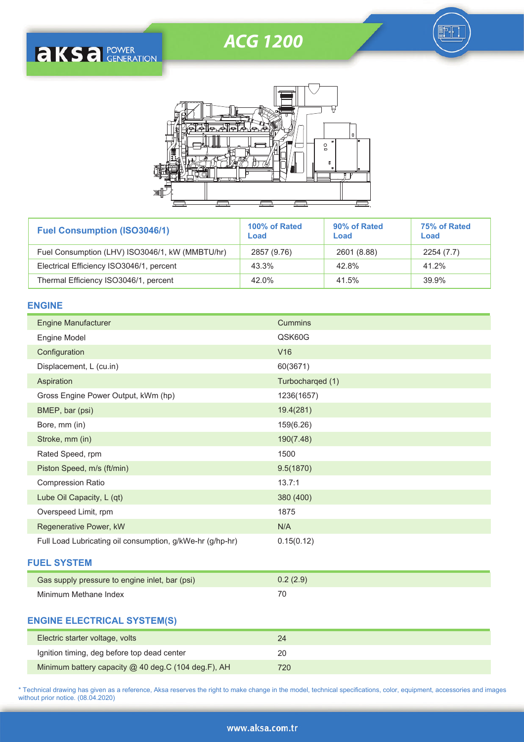# ACG 1200

訶





| <b>Fuel Consumption (ISO3046/1)</b>             | 100% of Rated<br>Load | 90% of Rated<br>Load | 75% of Rated<br>Load |  |
|-------------------------------------------------|-----------------------|----------------------|----------------------|--|
| Fuel Consumption (LHV) ISO3046/1, kW (MMBTU/hr) | 2857 (9.76)           | 2601 (8.88)          | 2254(7.7)            |  |
| Electrical Efficiency ISO3046/1, percent        | 43.3%                 | 42.8%                | 41.2%                |  |
| Thermal Efficiency ISO3046/1, percent           | 42.0%                 | 41.5%                | 39.9%                |  |

# **ENGINE**

| <b>Engine Manufacturer</b>                                | <b>Cummins</b>   |
|-----------------------------------------------------------|------------------|
| Engine Model                                              | QSK60G           |
| Configuration                                             | V16              |
| Displacement, L (cu.in)                                   | 60(3671)         |
| Aspiration                                                | Turbocharged (1) |
| Gross Engine Power Output, kWm (hp)                       | 1236(1657)       |
| BMEP, bar (psi)                                           | 19.4(281)        |
| Bore, mm (in)                                             | 159(6.26)        |
| Stroke, mm (in)                                           | 190(7.48)        |
| Rated Speed, rpm                                          | 1500             |
| Piston Speed, m/s (ft/min)                                | 9.5(1870)        |
| <b>Compression Ratio</b>                                  | 13.7:1           |
| Lube Oil Capacity, L (qt)                                 | 380 (400)        |
| Overspeed Limit, rpm                                      | 1875             |
| Regenerative Power, kW                                    | N/A              |
| Full Load Lubricating oil consumption, g/kWe-hr (g/hp-hr) | 0.15(0.12)       |
| <b>FUEL SYSTEM</b>                                        |                  |
| Gas supply pressure to engine inlet, bar (psi)            | 0.2(2.9)         |

# **ENGINE ELECTRICAL SYSTEM(S)**

Minimum Methane Index

| Electric starter voltage, volts                     | 24   |
|-----------------------------------------------------|------|
| Ignition timing, deg before top dead center         | 20   |
| Minimum battery capacity @ 40 deg.C (104 deg.F), AH | 720. |

70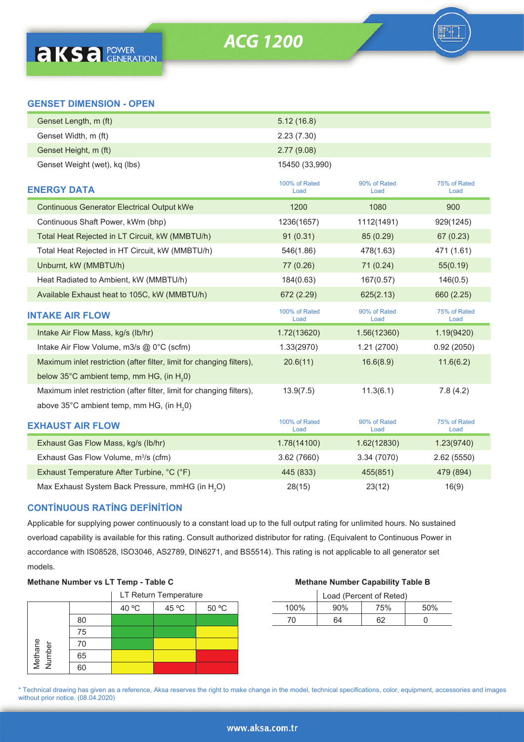**ACG 1200** 

| Genset Length, m (ft)                                                 | 5.12(16.8)            |                      |                      |
|-----------------------------------------------------------------------|-----------------------|----------------------|----------------------|
| Genset Width, m (ft)                                                  | 2.23(7.30)            |                      |                      |
| Genset Height, m (ft)                                                 | 2.77(9.08)            |                      |                      |
| Genset Weight (wet), kg (lbs)                                         | 15450 (33,990)        |                      |                      |
| <b>ENERGY DATA</b>                                                    | 100% of Rated<br>Load | 90% of Rated<br>Load | 75% of Rated<br>Load |
| <b>Continuous Generator Electrical Output kWe</b>                     | 1200                  | 1080                 | 900                  |
| Continuous Shaft Power, kWm (bhp)                                     | 1236(1657)            | 1112(1491)           | 929(1245)            |
| Total Heat Rejected in LT Circuit, kW (MMBTU/h)                       | 91(0.31)              | 85 (0.29)            | 67 (0.23)            |
| Total Heat Rejected in HT Circuit, kW (MMBTU/h)                       | 546(1.86)             | 478(1.63)            | 471 (1.61)           |
| Unburnt, kW (MMBTU/h)                                                 | 77 (0.26)             | 71 (0.24)            | 55(0.19)             |
| Heat Radiated to Ambient, kW (MMBTU/h)                                | 184(0.63)             | 167(0.57)            | 146(0.5)             |
| Available Exhaust heat to 105C, kW (MMBTU/h)                          | 672 (2.29)            | 625(2.13)            | 660 (2.25)           |
|                                                                       |                       |                      |                      |
| <b>INTAKE AIR FLOW</b>                                                | 100% of Rated<br>Load | 90% of Rated<br>Load | 75% of Rated<br>Load |
| Intake Air Flow Mass, kg/s (lb/hr)                                    | 1.72(13620)           | 1.56(12360)          | 1.19(9420)           |
| Intake Air Flow Volume, m3/s @ 0°C (scfm)                             | 1.33(2970)            | 1.21(2700)           | 0.92(2050)           |
| Maximum inlet restriction (after filter, limit for changing filters), | 20.6(11)              | 16.6(8.9)            | 11.6(6.2)            |
| below 35°C ambient temp, mm HG, (in H <sub>2</sub> 0)                 |                       |                      |                      |
| Maximum inlet restriction (after filter, limit for changing filters), | 13.9(7.5)             | 11.3(6.1)            | 7.8(4.2)             |
| above 35°C ambient temp, mm HG, (in H <sub>2</sub> 0)                 |                       |                      |                      |
| <b>EXHAUST AIR FLOW</b>                                               | 100% of Rated<br>Load | 90% of Rated<br>Load | 75% of Rated<br>Load |
| Exhaust Gas Flow Mass, kg/s (lb/hr)                                   | 1.78(14100)           | 1.62(12830)          | 1.23(9740)           |
| Exhaust Gas Flow Volume, m <sup>3</sup> /s (cfm)                      | 3.62 (7660)           | 3.34 (7070)          | 2.62(5550)           |
| Exhaust Temperature After Turbine, °C (°F)                            | 445 (833)             | 455(851)             | 479 (894)            |

# **CONTİNUOUS RATİNG DEFİNİTİON**

Applicable for supplying power continuously to a constant load up to the full output rating for unlimited hours. No sustained overload capability is available for this rating. Consult authorized distributor for rating. (Equivalent to Continuous Power in accordance with IS08528, ISO3046, AS2789, DIN6271, and BS5514). This rating is not applicable to all generator set models.

### **Methane Number vs LT Temp - Table C Methane Number Capability Table B**

|                   |    | LT Return Temperature |       |       |  |  |  |
|-------------------|----|-----------------------|-------|-------|--|--|--|
|                   |    | 40 °C                 | 45 °C | 50 °C |  |  |  |
| Methane<br>Number | 80 |                       |       |       |  |  |  |
|                   | 75 |                       |       |       |  |  |  |
|                   | 70 |                       |       |       |  |  |  |
|                   | 65 |                       |       |       |  |  |  |
|                   | 60 |                       |       |       |  |  |  |

| LT Return Temperature |       |       |  |      | Load (Percent of Reted) |     |     |
|-----------------------|-------|-------|--|------|-------------------------|-----|-----|
| 40 °C                 | 45 °C | 50 °C |  | 100% | 90%                     | 75% | 50% |
|                       |       |       |  | 70   | 64                      | 62  |     |

\* Technical drawing has given as a reference, Aksa reserves the right to make change in the model, technical specifications, color, equipment, accessories and images without prior notice. (08.04.2020)

#### www.aksa.com.tr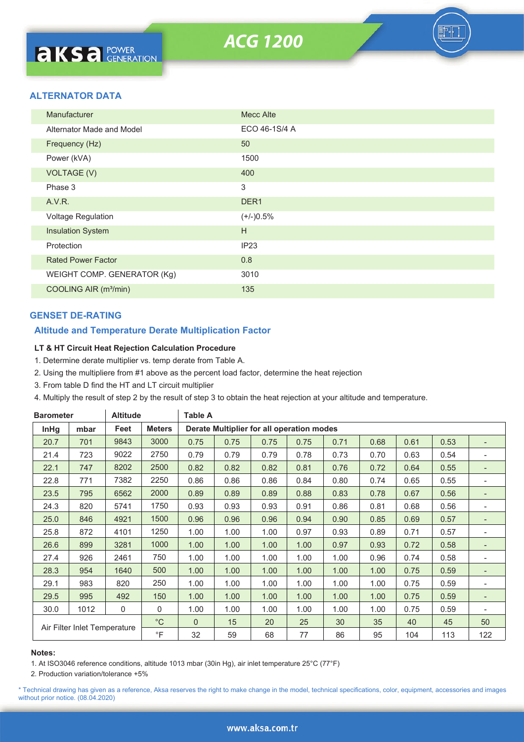# **ALTERNATOR DATA**

| Manufacturer                      | <b>Mecc Alte</b> |
|-----------------------------------|------------------|
| Alternator Made and Model         | ECO 46-1S/4 A    |
| Frequency (Hz)                    | 50               |
| Power (kVA)                       | 1500             |
| <b>VOLTAGE (V)</b>                | 400              |
| Phase 3                           | 3                |
| A.V.R.                            | DER <sub>1</sub> |
| Voltage Regulation                | $(+/-)0.5%$      |
| <b>Insulation System</b>          | H                |
| Protection                        | IP23             |
| <b>Rated Power Factor</b>         | 0.8              |
| WEIGHT COMP. GENERATOR (Kg)       | 3010             |
| COOLING AIR (m <sup>3</sup> /min) | 135              |

# **GENSET DE-RATING**

# **Altitude and Temperature Derate Multiplication Factor**

### **LT & HT Circuit Heat Rejection Calculation Procedure**

- 1. Determine derate multiplier vs. temp derate from Table A.
- 2. Using the multipliere from #1 above as the percent load factor, determine the heat rejection
- 3. From table D find the HT and LT circuit multiplier
- 4. Multiply the result of step 2 by the result of step 3 to obtain the heat rejection at your altitude and temperature.

| <b>Barometer</b> |                              | <b>Altitude</b> |               | <b>Table A</b> |                                           |      |                   |      |      |      |      |                          |
|------------------|------------------------------|-----------------|---------------|----------------|-------------------------------------------|------|-------------------|------|------|------|------|--------------------------|
| <b>InHg</b>      | mbar                         | Feet            | <b>Meters</b> |                | Derate Multiplier for all operation modes |      |                   |      |      |      |      |                          |
| 20.7             | 701                          | 9843            | 3000          | 0.75           | 0.75                                      | 0.75 | 0.75              | 0.71 | 0.68 | 0.61 | 0.53 | $\overline{\phantom{0}}$ |
| 21.4             | 723                          | 9022            | 2750          | 0.79           | 0.79                                      | 0.79 | 0.78              | 0.73 | 0.70 | 0.63 | 0.54 | $\overline{\phantom{0}}$ |
| 22.1             | 747                          | 8202            | 2500          | 0.82           | 0.82                                      | 0.82 | 0.81              | 0.76 | 0.72 | 0.64 | 0.55 | $\overline{\phantom{0}}$ |
| 22.8             | 771                          | 7382            | 2250          | 0.86           | 0.86                                      | 0.86 | 0.84              | 0.80 | 0.74 | 0.65 | 0.55 | -                        |
| 23.5             | 795                          | 6562            | 2000          | 0.89           | 0.89                                      | 0.89 | 0.88              | 0.83 | 0.78 | 0.67 | 0.56 | $\overline{\phantom{0}}$ |
| 24.3             | 820                          | 5741            | 1750          | 0.93           | 0.93                                      | 0.93 | 0.91              | 0.86 | 0.81 | 0.68 | 0.56 |                          |
| 25.0             | 846                          | 4921            | 1500          | 0.96           | 0.96                                      | 0.96 | 0.94              | 0.90 | 0.85 | 0.69 | 0.57 | $\overline{\phantom{0}}$ |
| 25.8             | 872                          | 4101            | 1250          | 1.00           | 1.00                                      | 1.00 | 0.97              | 0.93 | 0.89 | 0.71 | 0.57 | $\overline{\phantom{0}}$ |
| 26.6             | 899                          | 3281            | 1000          | 1.00           | 1.00                                      | 1.00 | 1.00              | 0.97 | 0.93 | 0.72 | 0.58 | $\overline{\phantom{a}}$ |
| 27.4             | 926                          | 2461            | 750           | 1.00           | 1.00                                      | 1.00 | 1.00              | 1.00 | 0.96 | 0.74 | 0.58 | $\overline{\phantom{0}}$ |
| 28.3             | 954                          | 1640            | 500           | 1.00           | 1.00                                      | 1.00 | 1.00              | 1.00 | 1.00 | 0.75 | 0.59 | $\overline{\phantom{0}}$ |
| 29.1             | 983                          | 820             | 250           | 1.00           | 1.00                                      | 1.00 | 1.00              | 1.00 | 1.00 | 0.75 | 0.59 | $\overline{a}$           |
| 29.5             | 995                          | 492             | 150           | 1.00           | 1.00                                      | 1.00 | 1.00              | 1.00 | 1.00 | 0.75 | 0.59 |                          |
| 30.0             | 1012                         | $\mathbf 0$     | $\mathbf 0$   | 1.00           | 1.00                                      | 1.00 | 1.00 <sub>1</sub> | 1.00 | 1.00 | 0.75 | 0.59 | ۰                        |
|                  | Air Filter Inlet Temperature |                 | $^{\circ}C$   | $\Omega$       | 15                                        | 20   | 25                | 30   | 35   | 40   | 45   | 50                       |
|                  |                              |                 | $\circ$ F     | 32             | 59                                        | 68   | 77                | 86   | 95   | 104  | 113  | 122                      |

#### **Notes:**

1. At ISO3046 reference conditions, altitude 1013 mbar (30in Hg), air inlet temperature 25°C (77°F)

2. Production variation/tolerance +5%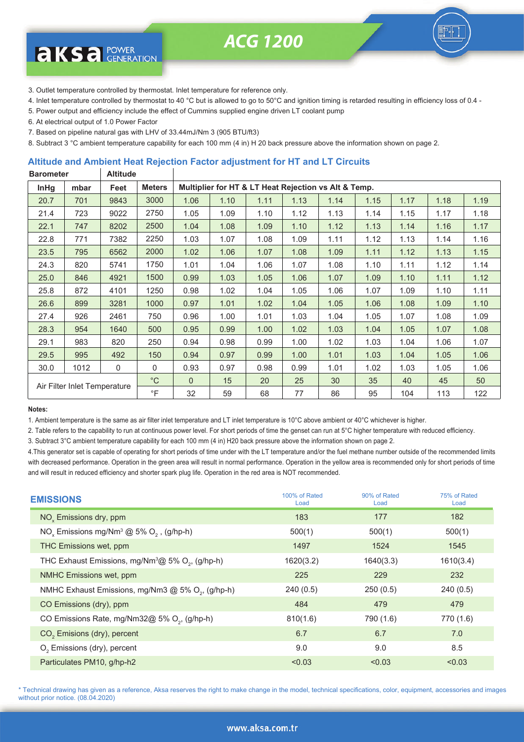**ACG 1200** 



3. Outlet temperature controlled by thermostat. Inlet temperature for reference only.

- 4. Inlet temperature controlled by thermostat to 40 °C but is allowed to go to 50°C and ignition timing is retarded resulting in efficiency loss of 0.4 -
- 5. Power output and efficiency include the effect of Cummins supplied engine driven LT coolant pump
- 6. At electrical output of 1.0 Power Factor

**aksa** POWER

- 7. Based on pipeline natural gas with LHV of 33.44mJ/Nm 3 (905 BTU/ft3)
- 8. Subtract 3 °C ambient temperature capability for each 100 mm (4 in) H 20 back pressure above the information shown on page 2.

### **Altitude and Ambient Heat Rejection Factor adjustment for HT and LT Circuits**

| <b>Altitude</b><br><b>Barometer</b> |                              |      |               |                                                      |      |      |      |      |      |      |      |      |
|-------------------------------------|------------------------------|------|---------------|------------------------------------------------------|------|------|------|------|------|------|------|------|
| <b>InHg</b>                         | mbar                         | Feet | <b>Meters</b> | Multiplier for HT & LT Heat Rejection vs Alt & Temp. |      |      |      |      |      |      |      |      |
| 20.7                                | 701                          | 9843 | 3000          | 1.06                                                 | 1.10 | 1.11 | 1.13 | 1.14 | 1.15 | 1.17 | 1.18 | 1.19 |
| 21.4                                | 723                          | 9022 | 2750          | 1.05                                                 | 1.09 | 1.10 | 1.12 | 1.13 | 1.14 | 1.15 | 1.17 | 1.18 |
| 22.1                                | 747                          | 8202 | 2500          | 1.04                                                 | 1.08 | 1.09 | 1.10 | 1.12 | 1.13 | 1.14 | 1.16 | 1.17 |
| 22.8                                | 771                          | 7382 | 2250          | 1.03                                                 | 1.07 | 1.08 | 1.09 | 1.11 | 1.12 | 1.13 | 1.14 | 1.16 |
| 23.5                                | 795                          | 6562 | 2000          | 1.02                                                 | 1.06 | 1.07 | 1.08 | 1.09 | 1.11 | 1.12 | 1.13 | 1.15 |
| 24.3                                | 820                          | 5741 | 1750          | 1.01                                                 | 1.04 | 1.06 | 1.07 | 1.08 | 1.10 | 1.11 | 1.12 | 1.14 |
| 25.0                                | 846                          | 4921 | 1500          | 0.99                                                 | 1.03 | 1.05 | 1.06 | 1.07 | 1.09 | 1.10 | 1.11 | 1.12 |
| 25.8                                | 872                          | 4101 | 1250          | 0.98                                                 | 1.02 | 1.04 | 1.05 | 1.06 | 1.07 | 1.09 | 1.10 | 1.11 |
| 26.6                                | 899                          | 3281 | 1000          | 0.97                                                 | 1.01 | 1.02 | 1.04 | 1.05 | 1.06 | 1.08 | 1.09 | 1.10 |
| 27.4                                | 926                          | 2461 | 750           | 0.96                                                 | 1.00 | 1.01 | 1.03 | 1.04 | 1.05 | 1.07 | 1.08 | 1.09 |
| 28.3                                | 954                          | 1640 | 500           | 0.95                                                 | 0.99 | 1.00 | 1.02 | 1.03 | 1.04 | 1.05 | 1.07 | 1.08 |
| 29.1                                | 983                          | 820  | 250           | 0.94                                                 | 0.98 | 0.99 | 1.00 | 1.02 | 1.03 | 1.04 | 1.06 | 1.07 |
| 29.5                                | 995                          | 492  | 150           | 0.94                                                 | 0.97 | 0.99 | 1.00 | 1.01 | 1.03 | 1.04 | 1.05 | 1.06 |
| 30.0                                | 1012                         | 0    | 0             | 0.93                                                 | 0.97 | 0.98 | 0.99 | 1.01 | 1.02 | 1.03 | 1.05 | 1.06 |
|                                     | Air Filter Inlet Temperature |      | $^{\circ}C$   | $\Omega$                                             | 15   | 20   | 25   | 30   | 35   | 40   | 45   | 50   |
|                                     |                              |      | $\circ$ F     | 32                                                   | 59   | 68   | 77   | 86   | 95   | 104  | 113  | 122  |

#### **Notes:**

1. Ambient temperature is the same as air filter inlet temperature and LT inlet temperature is 10°C above ambient or 40°C whichever is higher.

2. Table refers to the capability to run at continuous power level. For short periods of time the genset can run at 5°C higher temperature with reduced efficiency.

3. Subtract 3°C ambient temperature capability for each 100 mm (4 in) H20 back pressure above the information shown on page 2.

4.This generator set is capable of operating for short periods of time under with the LT temperature and/or the fuel methane number outside of the recommended limits with decreased performance. Operation in the green area will result in normal performance. Operation in the yellow area is recommended only for short periods of time and will result in reduced efficiency and shorter spark plug life. Operation in the red area is NOT recommended.

| <b>EMISSIONS</b>                                                            | 100% of Rated<br>Load | 90% of Rated<br>Load | 75% of Rated<br>Load |
|-----------------------------------------------------------------------------|-----------------------|----------------------|----------------------|
| NO <sub>v</sub> Emissions dry, ppm                                          | 183                   | 177                  | 182                  |
| NO <sub>v</sub> Emissions mg/Nm <sup>3</sup> @ 5% O <sub>2</sub> , (g/hp-h) | 500(1)                | 500(1)               | 500(1)               |
| THC Emissions wet, ppm                                                      | 1497                  | 1524                 | 1545                 |
| THC Exhaust Emissions, mg/Nm $^3$ @ 5% O <sub>2</sub> , (g/hp-h)            | 1620(3.2)             | 1640(3.3)            | 1610(3.4)            |
| NMHC Emissions wet, ppm                                                     | 225                   | 229                  | 232                  |
| NMHC Exhaust Emissions, mg/Nm3 @ 5% O <sub>2</sub> , (g/hp-h)               | 240(0.5)              | 250(0.5)             | 240(0.5)             |
| CO Emissions (dry), ppm                                                     | 484                   | 479                  | 479                  |
| CO Emissions Rate, mg/Nm32@ 5% O <sub>2</sub> , (g/hp-h)                    | 810(1.6)              | 790 (1.6)            | 770 (1.6)            |
| CO <sub>2</sub> Emisions (dry), percent                                     | 6.7                   | 6.7                  | 7.0                  |
| O <sub>2</sub> Emissions (dry), percent                                     | 9.0                   | 9.0                  | 8.5                  |
| Particulates PM10, g/hp-h2                                                  | < 0.03                | < 0.03               | < 0.03               |